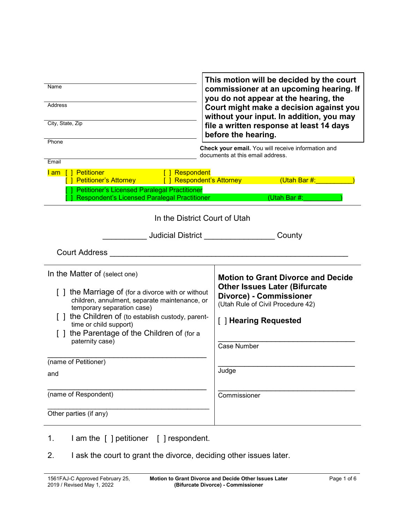| Name<br><b>Address</b><br>City, State, Zip                                                                                                                                                                                                                                                                                              | This motion will be decided by the court<br>commissioner at an upcoming hearing. If<br>you do not appear at the hearing, the<br>Court might make a decision against you<br>without your input. In addition, you may<br>file a written response at least 14 days<br>before the hearing. |  |  |
|-----------------------------------------------------------------------------------------------------------------------------------------------------------------------------------------------------------------------------------------------------------------------------------------------------------------------------------------|----------------------------------------------------------------------------------------------------------------------------------------------------------------------------------------------------------------------------------------------------------------------------------------|--|--|
| Phone<br>Email<br><b>Petitioner</b><br>[ ] Respondent<br>lam []<br>Petitioner's Attorney [ ] Respondent's Attorney<br>Petitioner's Licensed Paralegal Practitioner<br>Respondent's Licensed Paralegal Practitioner                                                                                                                      | Check your email. You will receive information and<br>documents at this email address.<br>(Utah Bar#:<br>(Utah Bar #:                                                                                                                                                                  |  |  |
| In the District Court of Utah<br>Judicial District<br><b>Court Address</b>                                                                                                                                                                                                                                                              | County                                                                                                                                                                                                                                                                                 |  |  |
| In the Matter of (select one)<br>the Marriage of (for a divorce with or without<br>children, annulment, separate maintenance, or<br>temporary separation case)<br>the Children of (to establish custody, parent-<br>time or child support)<br>the Parentage of the Children of (for a<br>paternity case)<br>(name of Petitioner)<br>and | <b>Motion to Grant Divorce and Decide</b><br><b>Other Issues Later (Bifurcate</b><br><b>Divorce) - Commissioner</b><br>(Utah Rule of Civil Procedure 42)<br>[ ] Hearing Requested<br><b>Case Number</b><br>Judge                                                                       |  |  |
| (name of Respondent)<br>Other parties (if any)                                                                                                                                                                                                                                                                                          | Commissioner                                                                                                                                                                                                                                                                           |  |  |
| I am the [ ] petitioner<br>[ ] respondent.<br>1.                                                                                                                                                                                                                                                                                        |                                                                                                                                                                                                                                                                                        |  |  |

г

2. I ask the court to grant the divorce, deciding other issues later.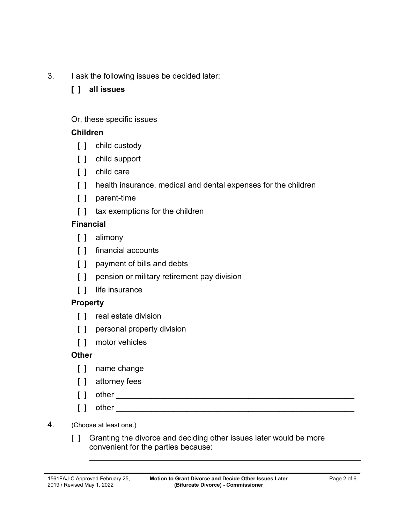3. I ask the following issues be decided later:

### **[ ] all issues**

### Or, these specific issues

### **Children**

- [ ] child custody
- [ ] child support
- [ ] child care
- [] health insurance, medical and dental expenses for the children
- [ ] parent-time
- [] tax exemptions for the children

### **Financial**

- [ ] alimony
- [ ] financial accounts
- [ ] payment of bills and debts
- [ ] pension or military retirement pay division
- [ ] life insurance

# **Property**

- [ ] real estate division
- [ ] personal property division
- [ ] motor vehicles

### **Other**

- [ ] name change
- [ ] attorney fees
- [ ] other \_\_\_\_\_\_\_\_\_\_\_\_\_\_\_\_\_\_\_\_\_\_\_\_\_\_\_\_\_\_\_\_\_\_\_\_\_\_\_\_\_\_\_\_\_\_\_\_\_\_\_\_\_\_
- $\begin{bmatrix} \end{bmatrix}$  other  $\begin{bmatrix} \end{bmatrix}$
- 4. (Choose at least one.)
	- [] Granting the divorce and deciding other issues later would be more convenient for the parties because: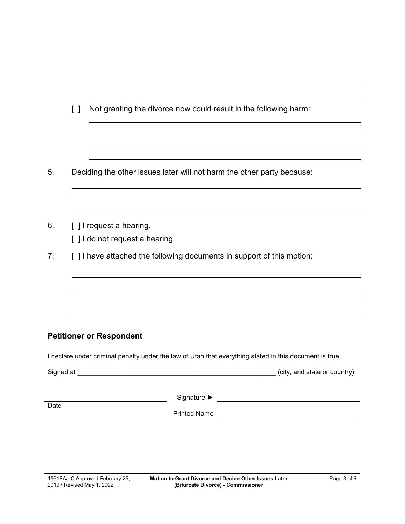|      | Not granting the divorce now could result in the following harm:<br>$\begin{smallmatrix}1\\1\end{smallmatrix}$ |  |  |  |
|------|----------------------------------------------------------------------------------------------------------------|--|--|--|
|      |                                                                                                                |  |  |  |
|      |                                                                                                                |  |  |  |
| 5.   | Deciding the other issues later will not harm the other party because:                                         |  |  |  |
|      |                                                                                                                |  |  |  |
|      |                                                                                                                |  |  |  |
| 6.   | [] I request a hearing.                                                                                        |  |  |  |
|      | [] I do not request a hearing.                                                                                 |  |  |  |
| 7.   | [] I have attached the following documents in support of this motion:                                          |  |  |  |
|      |                                                                                                                |  |  |  |
|      |                                                                                                                |  |  |  |
|      |                                                                                                                |  |  |  |
|      | <b>Petitioner or Respondent</b>                                                                                |  |  |  |
|      | I declare under criminal penalty under the law of Utah that everything stated in this document is true.        |  |  |  |
|      |                                                                                                                |  |  |  |
|      |                                                                                                                |  |  |  |
| Date | <b>Printed Name</b>                                                                                            |  |  |  |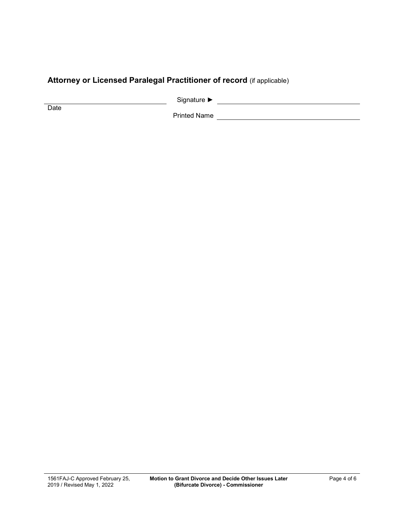# **Attorney or Licensed Paralegal Practitioner of record** (if applicable)

Signature ► Letter Signature → Letter Signature → Letter Signature → Letter Signature → Letter Signature → Letter Signature → Letter Signature → Letter Signature → Letter Signature → Letter Signature → Letter Signature →

**Date** 

Printed Name **Contract Contract Contract Contract Contract Contract Contract Contract Contract Contract Contract Contract Contract Contract Contract Contract Contract Contract Contract Contract Contract Contract Contract C**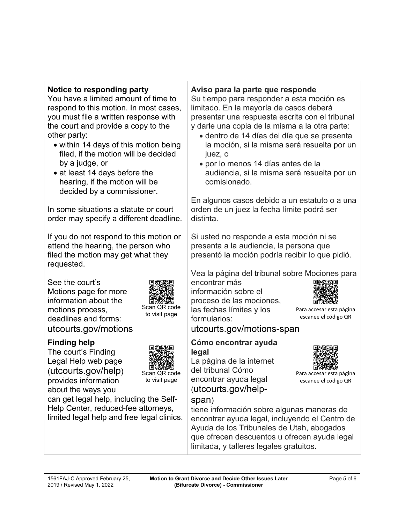### **Notice to responding party**

You have a limited amount of time to respond to this motion. In most cases, you must file a written response with the court and provide a copy to the other party:

- within 14 days of this motion being filed, if the motion will be decided by a judge, or
- at least 14 days before the hearing, if the motion will be decided by a commissioner.

In some situations a statute or court order may specify a different deadline.

If you do not respond to this motion or attend the hearing, the person who filed the motion may get what they requested.

See the court's Motions page for more information about the motions process, deadlines and forms: utcourts.gov/motions



The court's Finding Legal Help web page (utcourts.gov/help) provides information about the ways you



Scan QR code to visit page

Scan QR code to visit page

can get legal help, including the Self-Help Center, reduced-fee attorneys, limited legal help and free legal clinics.

# **Aviso para la parte que responde**

Su tiempo para responder a esta moción es limitado. En la mayoría de casos deberá presentar una respuesta escrita con el tribunal y darle una copia de la misma a la otra parte:

- dentro de 14 días del día que se presenta la moción, si la misma será resuelta por un juez, o
- por lo menos 14 días antes de la audiencia, si la misma será resuelta por un comisionado.

En algunos casos debido a un estatuto o a una orden de un juez la fecha límite podrá ser distinta.

Si usted no responde a esta moción ni se presenta a la audiencia, la persona que presentó la moción podría recibir lo que pidió.

Vea la página del tribunal sobre Mociones para

encontrar más información sobre el proceso de las mociones, las fechas límites y los formularios:



Para accesar esta página escanee el código QR

Para accesar esta página escanee el código QR

utcourts.gov/motions-span

#### **Cómo encontrar ayuda legal**

La página de la internet del tribunal Cómo encontrar ayuda legal (utcourts.gov/help-

# span)

tiene información sobre algunas maneras de encontrar ayuda legal, incluyendo el Centro de Ayuda de los Tribunales de Utah, abogados que ofrecen descuentos u ofrecen ayuda legal limitada, y talleres legales gratuitos.